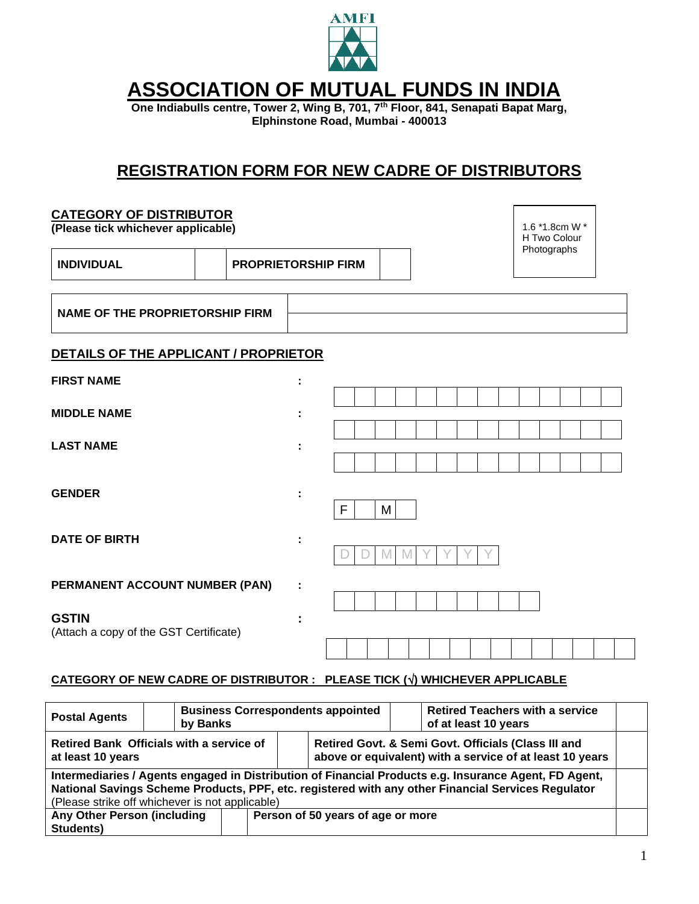

# **ASSOCIATION OF MUTUAL FUNDS IN INDIA**

**One Indiabulls centre, Tower 2, Wing B, 701, 7th Floor, 841, Senapati Bapat Marg, Elphinstone Road, Mumbai - 400013** 

## **REGISTRATION FORM FOR NEW CADRE OF DISTRIBUTORS**

#### **CATEGORY OF DISTRIBUTOR**

**(Please tick whichever applicable)**

**INDIVIDUAL PROPRIETORSHIP FIRM**

1.6 \*1.8cm W \* H Two Colour Photographs

### **DETAILS OF THE APPLICANT / PROPRIETOR**

| <b>FIRST NAME</b>                                      |                                  |        |
|--------------------------------------------------------|----------------------------------|--------|
| <b>MIDDLE NAME</b>                                     | ٠<br>٠                           |        |
| <b>LAST NAME</b>                                       | ٠                                |        |
| <b>GENDER</b>                                          | ٠<br>٠                           | F<br>M |
| <b>DATE OF BIRTH</b>                                   | ٠<br>٠                           |        |
| PERMANENT ACCOUNT NUMBER (PAN)                         | ÷                                |        |
| <b>GSTIN</b><br>(Attach a copy of the GST Certificate) | $\blacksquare$<br>$\blacksquare$ |        |

### **CATEGORY OF NEW CADRE OF DISTRIBUTOR : PLEASE TICK () WHICHEVER APPLICABLE**

| <b>Postal Agents</b>                                                                                                                                                                                                                                           | by Banks |  |                                   | <b>Business Correspondents appointed</b>                                                                        |  | <b>Retired Teachers with a service</b><br>of at least 10 years |  |  |  |  |
|----------------------------------------------------------------------------------------------------------------------------------------------------------------------------------------------------------------------------------------------------------------|----------|--|-----------------------------------|-----------------------------------------------------------------------------------------------------------------|--|----------------------------------------------------------------|--|--|--|--|
| Retired Bank Officials with a service of<br>at least 10 years                                                                                                                                                                                                  |          |  |                                   | Retired Govt. & Semi Govt. Officials (Class III and<br>above or equivalent) with a service of at least 10 years |  |                                                                |  |  |  |  |
| Intermediaries / Agents engaged in Distribution of Financial Products e.g. Insurance Agent, FD Agent,<br>National Savings Scheme Products, PPF, etc. registered with any other Financial Services Regulator<br>(Please strike off whichever is not applicable) |          |  |                                   |                                                                                                                 |  |                                                                |  |  |  |  |
| Any Other Person (including<br>Students)                                                                                                                                                                                                                       |          |  | Person of 50 years of age or more |                                                                                                                 |  |                                                                |  |  |  |  |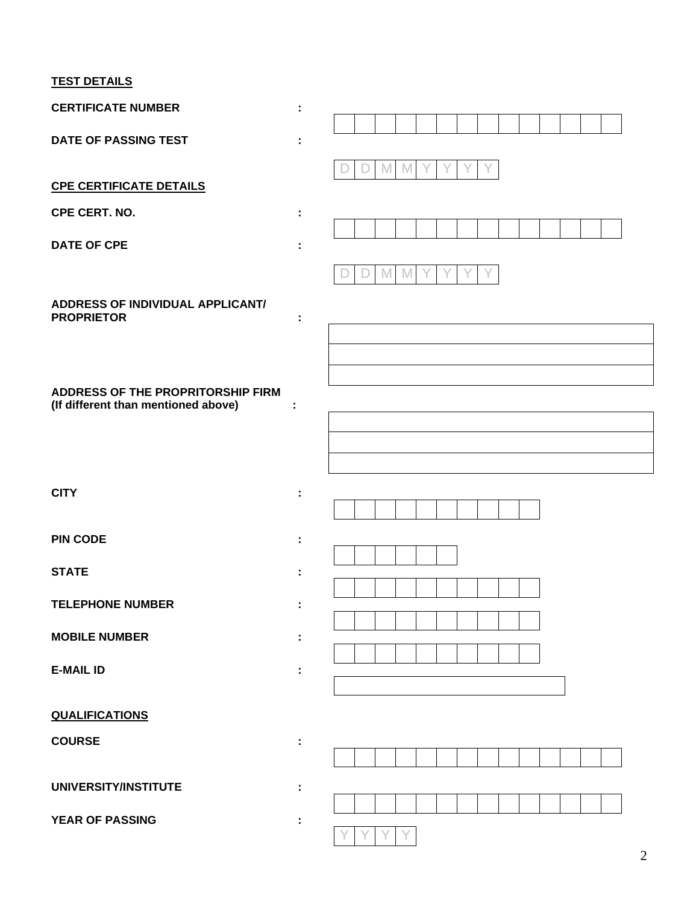### **TEST DETAILS**

| <b>CERTIFICATE NUMBER</b>                                                |   |             |
|--------------------------------------------------------------------------|---|-------------|
| DATE OF PASSING TEST                                                     |   |             |
| <b>CPE CERTIFICATE DETAILS</b>                                           |   | M<br>M      |
| CPE CERT. NO.                                                            |   |             |
| <b>DATE OF CPE</b>                                                       |   |             |
| ADDRESS OF INDIVIDUAL APPLICANT/<br><b>PROPRIETOR</b>                    | ÷ | IVI<br>IVI. |
|                                                                          |   |             |
| ADDRESS OF THE PROPRITORSHIP FIRM<br>(If different than mentioned above) |   |             |
|                                                                          |   |             |
| <b>CITY</b>                                                              | ÷ |             |
| <b>PIN CODE</b>                                                          |   |             |
| <b>STATE</b>                                                             |   |             |
| <b>TELEPHONE NUMBER</b>                                                  |   |             |
| <b>MOBILE NUMBER</b>                                                     |   |             |
| <b>E-MAIL ID</b>                                                         |   |             |
| <b>QUALIFICATIONS</b>                                                    |   |             |
| <b>COURSE</b>                                                            |   |             |
| UNIVERSITY/INSTITUTE                                                     | t |             |
| YEAR OF PASSING                                                          |   |             |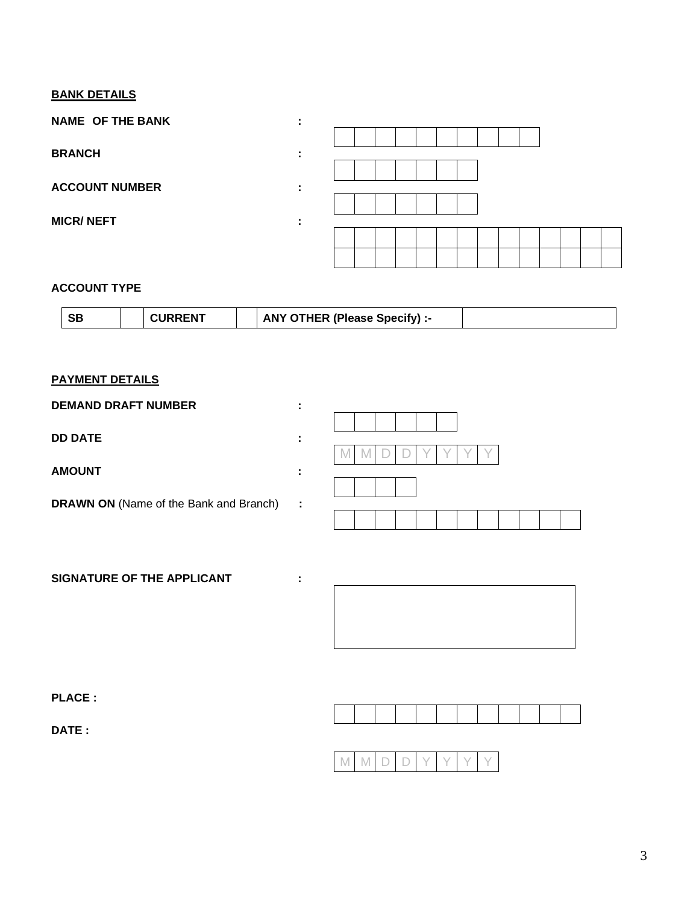### **BANK DETAILS**

| <b>NAME OF THE BANK</b> |              |  |  |  |  |  |  |  |
|-------------------------|--------------|--|--|--|--|--|--|--|
|                         |              |  |  |  |  |  |  |  |
| <b>BRANCH</b>           | $\mathbf{r}$ |  |  |  |  |  |  |  |
|                         |              |  |  |  |  |  |  |  |
| <b>ACCOUNT NUMBER</b>   |              |  |  |  |  |  |  |  |
|                         |              |  |  |  |  |  |  |  |
| <b>MICR/NEFT</b>        |              |  |  |  |  |  |  |  |
|                         |              |  |  |  |  |  |  |  |
|                         |              |  |  |  |  |  |  |  |
|                         |              |  |  |  |  |  |  |  |

#### **ACCOUNT TYPE**

| <b>SB</b> |  | <b>JRRENT</b> |  | <b>ANY OTHER (Please Specify):</b> |  |
|-----------|--|---------------|--|------------------------------------|--|
|-----------|--|---------------|--|------------------------------------|--|

### **PAYMENT DETAILS**

| <b>DEMAND DRAFT NUMBER</b>                    |          |  |
|-----------------------------------------------|----------|--|
| <b>DD DATE</b>                                | ٠        |  |
| <b>AMOUNT</b>                                 |          |  |
| <b>DRAWN ON (Name of the Bank and Branch)</b> | $\sim$ 1 |  |

**SIGNATURE OF THE APPLICANT :** 

**PLACE :**

**DATE :** 



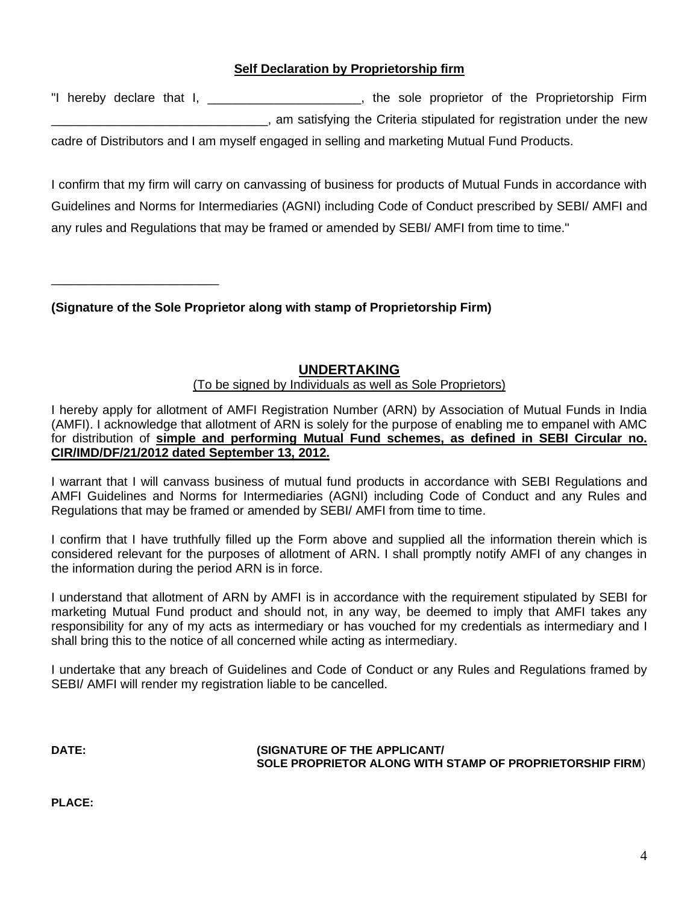### **Self Declaration by Proprietorship firm**

"I hereby declare that I, \_\_\_\_\_\_\_\_\_\_\_\_\_\_\_\_\_\_\_\_\_\_, the sole proprietor of the Proprietorship Firm \_\_\_\_\_\_\_\_\_\_\_\_\_\_\_\_\_\_\_\_\_\_\_\_\_\_\_\_\_\_\_, am satisfying the Criteria stipulated for registration under the new cadre of Distributors and I am myself engaged in selling and marketing Mutual Fund Products.

I confirm that my firm will carry on canvassing of business for products of Mutual Funds in accordance with Guidelines and Norms for Intermediaries (AGNI) including Code of Conduct prescribed by SEBI/ AMFI and any rules and Regulations that may be framed or amended by SEBI/ AMFI from time to time."

**(Signature of the Sole Proprietor along with stamp of Proprietorship Firm)**

\_\_\_\_\_\_\_\_\_\_\_\_\_\_\_\_\_\_\_\_\_\_\_\_

### **UNDERTAKING**

### (To be signed by Individuals as well as Sole Proprietors)

I hereby apply for allotment of AMFI Registration Number (ARN) by Association of Mutual Funds in India (AMFI). I acknowledge that allotment of ARN is solely for the purpose of enabling me to empanel with AMC for distribution of **simple and performing Mutual Fund schemes, as defined in SEBI Circular no. CIR/IMD/DF/21/2012 dated September 13, 2012.**

I warrant that I will canvass business of mutual fund products in accordance with SEBI Regulations and AMFI Guidelines and Norms for Intermediaries (AGNI) including Code of Conduct and any Rules and Regulations that may be framed or amended by SEBI/ AMFI from time to time.

I confirm that I have truthfully filled up the Form above and supplied all the information therein which is considered relevant for the purposes of allotment of ARN. I shall promptly notify AMFI of any changes in the information during the period ARN is in force.

I understand that allotment of ARN by AMFI is in accordance with the requirement stipulated by SEBI for marketing Mutual Fund product and should not, in any way, be deemed to imply that AMFI takes any responsibility for any of my acts as intermediary or has vouched for my credentials as intermediary and I shall bring this to the notice of all concerned while acting as intermediary.

I undertake that any breach of Guidelines and Code of Conduct or any Rules and Regulations framed by SEBI/ AMFI will render my registration liable to be cancelled.

#### **DATE: (SIGNATURE OF THE APPLICANT/ SOLE PROPRIETOR ALONG WITH STAMP OF PROPRIETORSHIP FIRM**)

**PLACE:**